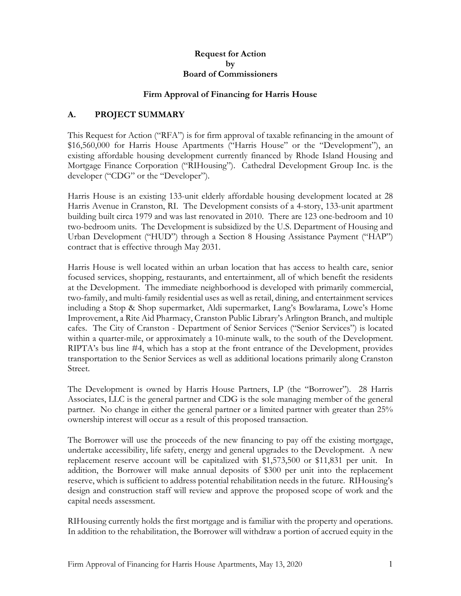#### **Request for Action by Board of Commissioners**

#### **Firm Approval of Financing for Harris House**

## **A. PROJECT SUMMARY**

This Request for Action ("RFA") is for firm approval of taxable refinancing in the amount of \$16,560,000 for Harris House Apartments ("Harris House" or the "Development"), an existing affordable housing development currently financed by Rhode Island Housing and Mortgage Finance Corporation ("RIHousing"). Cathedral Development Group Inc. is the developer ("CDG" or the "Developer").

Harris House is an existing 133-unit elderly affordable housing development located at 28 Harris Avenue in Cranston, RI. The Development consists of a 4-story, 133-unit apartment building built circa 1979 and was last renovated in 2010. There are 123 one-bedroom and 10 two-bedroom units. The Development is subsidized by the U.S. Department of Housing and Urban Development ("HUD") through a Section 8 Housing Assistance Payment ("HAP") contract that is effective through May 2031.

Harris House is well located within an urban location that has access to health care, senior focused services, shopping, restaurants, and entertainment, all of which benefit the residents at the Development. The immediate neighborhood is developed with primarily commercial, two-family, and multi-family residential uses as well as retail, dining, and entertainment services including a Stop & Shop supermarket, Aldi supermarket, Lang's Bowlarama, Lowe's Home Improvement, a Rite Aid Pharmacy, Cranston Public Library's Arlington Branch, and multiple cafes. The City of Cranston - Department of Senior Services ("Senior Services") is located within a quarter-mile, or approximately a 10-minute walk, to the south of the Development. RIPTA's bus line #4, which has a stop at the front entrance of the Development, provides transportation to the Senior Services as well as additional locations primarily along Cranston Street.

The Development is owned by Harris House Partners, LP (the "Borrower"). 28 Harris Associates, LLC is the general partner and CDG is the sole managing member of the general partner. No change in either the general partner or a limited partner with greater than 25% ownership interest will occur as a result of this proposed transaction.

The Borrower will use the proceeds of the new financing to pay off the existing mortgage, undertake accessibility, life safety, energy and general upgrades to the Development. A new replacement reserve account will be capitalized with \$1,573,500 or \$11,831 per unit. In addition, the Borrower will make annual deposits of \$300 per unit into the replacement reserve, which is sufficient to address potential rehabilitation needs in the future. RIHousing's design and construction staff will review and approve the proposed scope of work and the capital needs assessment.

RIHousing currently holds the first mortgage and is familiar with the property and operations. In addition to the rehabilitation, the Borrower will withdraw a portion of accrued equity in the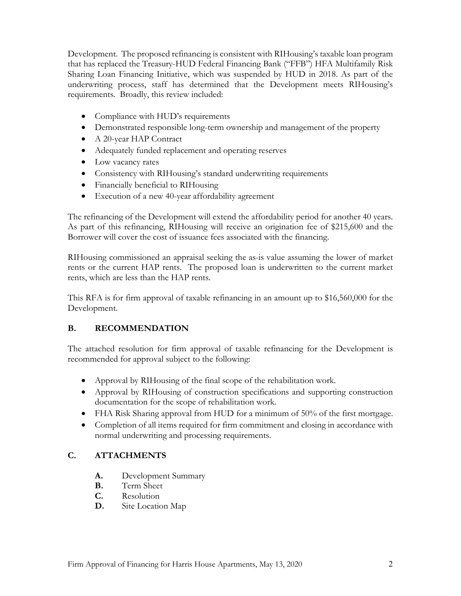Development. The proposed refinancing is consistent with RIHousing's taxable loan program that has replaced the Treasury-HUD Federal Financing Bank ("FFB") HFA Multifamily Risk Sharing Loan Financing Initiative, which was suspended by HUD in 2018. As part of the underwriting process, staff has determined that the Development meets RIHousing's requirements. Broadly, this review included:

- Compliance with HUD's requirements
- Demonstrated responsible long-term ownership and management of the property
- A 20-year HAP Contract
- Adequately funded replacement and operating reserves
- Low vacancy rates
- Consistency with RIHousing's standard underwriting requirements
- Financially beneficial to RIHousing
- Execution of a new 40-year affordability agreement

The refinancing of the Development will extend the affordability period for another 40 years. As part of this refinancing, RIHousing will receive an origination fee of \$215,600 and the Borrower will cover the cost of issuance fees associated with the financing.

RIHousing commissioned an appraisal seeking the as-is value assuming the lower of market rents or the current HAP rents. The proposed loan is underwritten to the current market rents, which are less than the HAP rents.

This RFA is for firm approval of taxable refinancing in an amount up to \$16,560,000 for the Development.

# **B. RECOMMENDATION**

The attached resolution for firm approval of taxable refinancing for the Development is recommended for approval subject to the following:

- Approval by RIHousing of the final scope of the rehabilitation work.
- Approval by RIHousing of construction specifications and supporting construction documentation for the scope of rehabilitation work.
- FHA Risk Sharing approval from HUD for a minimum of 50% of the first mortgage.
- Completion of all items required for firm commitment and closing in accordance with normal underwriting and processing requirements.

# **C. ATTACHMENTS**

- **A.** Development Summary
- **B.** Term Sheet
- **C.** Resolution
- **D.** Site Location Map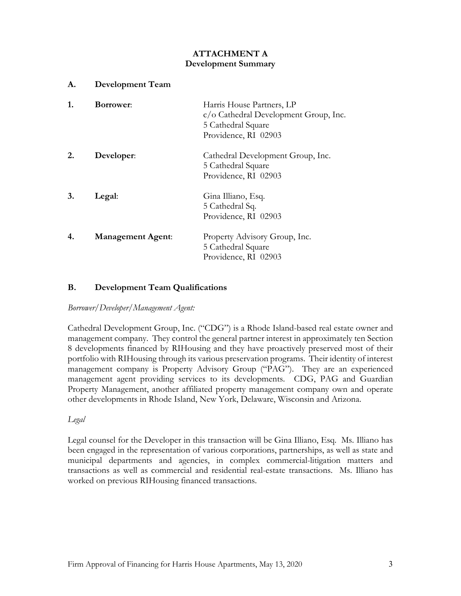## **ATTACHMENT A Development Summary**

| <b>Development Team</b>  |                                                                                                                         |
|--------------------------|-------------------------------------------------------------------------------------------------------------------------|
| <b>Borrower:</b>         | Harris House Partners, LP<br>$c/\sigma$ Cathedral Development Group, Inc.<br>5 Cathedral Square<br>Providence, RI 02903 |
| Developer:               | Cathedral Development Group, Inc.<br>5 Cathedral Square<br>Providence, RI 02903                                         |
| Legal:                   | Gina Illiano, Esq.<br>5 Cathedral Sq.<br>Providence, RI 02903                                                           |
| <b>Management Agent:</b> | Property Advisory Group, Inc.<br>5 Cathedral Square<br>Providence, RI 02903                                             |
|                          |                                                                                                                         |

### **B. Development Team Qualifications**

*Borrower/Developer/Management Agent:*

Cathedral Development Group, Inc. ("CDG") is a Rhode Island-based real estate owner and management company. They control the general partner interest in approximately ten Section 8 developments financed by RIHousing and they have proactively preserved most of their portfolio with RIHousing through its various preservation programs. Their identity of interest management company is Property Advisory Group ("PAG"). They are an experienced management agent providing services to its developments. CDG, PAG and Guardian Property Management, another affiliated property management company own and operate other developments in Rhode Island, New York, Delaware, Wisconsin and Arizona.

*Legal*

Legal counsel for the Developer in this transaction will be Gina Illiano, Esq. Ms. Illiano has been engaged in the representation of various corporations, partnerships, as well as state and municipal departments and agencies, in complex commercial-litigation matters and transactions as well as commercial and residential real-estate transactions. Ms. Illiano has worked on previous RIHousing financed transactions.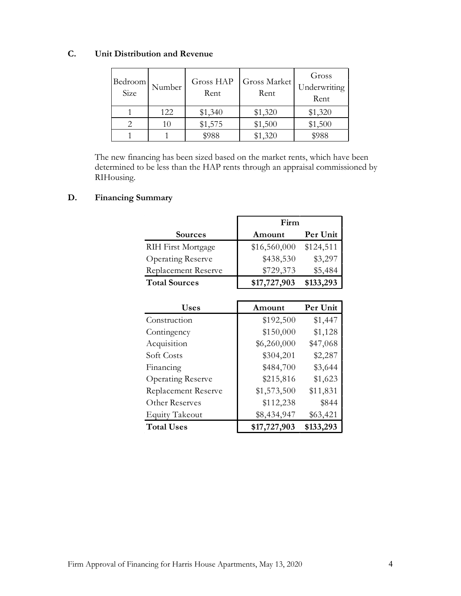# **C. Unit Distribution and Revenue**

| Bedroom<br>Size | Number | Gross HAP<br>Rent | Gross Market<br>Rent | Gross<br>Underwriting<br>Rent |
|-----------------|--------|-------------------|----------------------|-------------------------------|
|                 | 122    | \$1,340           | \$1,320              | \$1,320                       |
|                 | 10     | \$1,575           | \$1,500              | \$1,500                       |
|                 |        | \$988             | \$1,320              | \$988                         |

The new financing has been sized based on the market rents, which have been determined to be less than the HAP rents through an appraisal commissioned by RIHousing.

## **D. Financing Summary**

|                           | Firm         |           |
|---------------------------|--------------|-----------|
| <b>Sources</b>            | Amount       | Per Unit  |
| <b>RIH First Mortgage</b> | \$16,560,000 | \$124,511 |
| <b>Operating Reserve</b>  | \$438,530    | \$3,297   |
| Replacement Reserve       | \$729,373    | \$5,484   |
| <b>Total Sources</b>      | \$17,727,903 | \$133,293 |

| <b>Uses</b>                | Amount       | Per Unit  |
|----------------------------|--------------|-----------|
| Construction               | \$192,500    | \$1,447   |
| Contingency                | \$150,000    | \$1,128   |
| Acquisition                | \$6,260,000  | \$47,068  |
| Soft Costs                 | \$304,201    | \$2,287   |
| Financing                  | \$484,700    | \$3,644   |
| Operating Reserve          | \$215,816    | \$1,623   |
| <b>Replacement Reserve</b> | \$1,573,500  | \$11,831  |
| Other Reserves             | \$112,238    | \$844     |
| <b>Equity Takeout</b>      | \$8,434,947  | \$63,421  |
| <b>Total Uses</b>          | \$17,727,903 | \$133,293 |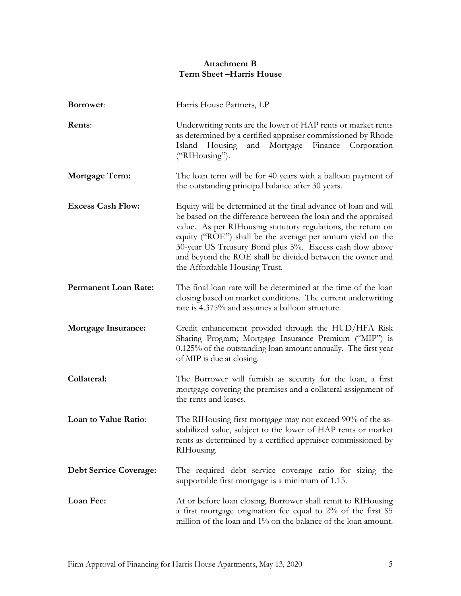## **Attachment B Term Sheet –Harris House**

| Borrower:                     | Harris House Partners, LP                                                                                                                                                                                                                                                                                                                                                                                                |  |
|-------------------------------|--------------------------------------------------------------------------------------------------------------------------------------------------------------------------------------------------------------------------------------------------------------------------------------------------------------------------------------------------------------------------------------------------------------------------|--|
| Rents:                        | Underwriting rents are the lower of HAP rents or market rents<br>as determined by a certified appraiser commissioned by Rhode<br>Finance<br>Housing<br>and<br>Mortgage<br>Corporation<br>Island<br>("RIHousing").                                                                                                                                                                                                        |  |
| Mortgage Term:                | The loan term will be for 40 years with a balloon payment of<br>the outstanding principal balance after 30 years.                                                                                                                                                                                                                                                                                                        |  |
| <b>Excess Cash Flow:</b>      | Equity will be determined at the final advance of loan and will<br>be based on the difference between the loan and the appraised<br>value. As per RIHousing statutory regulations, the return on<br>equity ("ROE") shall be the average per annum yield on the<br>30-year US Treasury Bond plus 5%. Excess cash flow above<br>and beyond the ROE shall be divided between the owner and<br>the Affordable Housing Trust. |  |
| <b>Permanent Loan Rate:</b>   | The final loan rate will be determined at the time of the loan<br>closing based on market conditions. The current underwriting<br>rate is 4.375% and assumes a balloon structure.                                                                                                                                                                                                                                        |  |
| <b>Mortgage Insurance:</b>    | Credit enhancement provided through the HUD/HFA Risk<br>Sharing Program; Mortgage Insurance Premium ("MIP") is<br>0.125% of the outstanding loan amount annually. The first year<br>of MIP is due at closing.                                                                                                                                                                                                            |  |
| Collateral:                   | The Borrower will furnish as security for the loan, a first<br>mortgage covering the premises and a collateral assignment of<br>the rents and leases.                                                                                                                                                                                                                                                                    |  |
| Loan to Value Ratio:          | The RIHousing first mortgage may not exceed 90% of the as-<br>stabilized value, subject to the lower of HAP rents or market<br>rents as determined by a certified appraiser commissioned by<br>RIHousing.                                                                                                                                                                                                                |  |
| <b>Debt Service Coverage:</b> | The required debt service coverage ratio for sizing the<br>supportable first mortgage is a minimum of 1.15.                                                                                                                                                                                                                                                                                                              |  |
| Loan Fee:                     | At or before loan closing, Borrower shall remit to RIHousing<br>a first mortgage origination fee equal to $2\%$ of the first \$5<br>million of the loan and 1% on the balance of the loan amount.                                                                                                                                                                                                                        |  |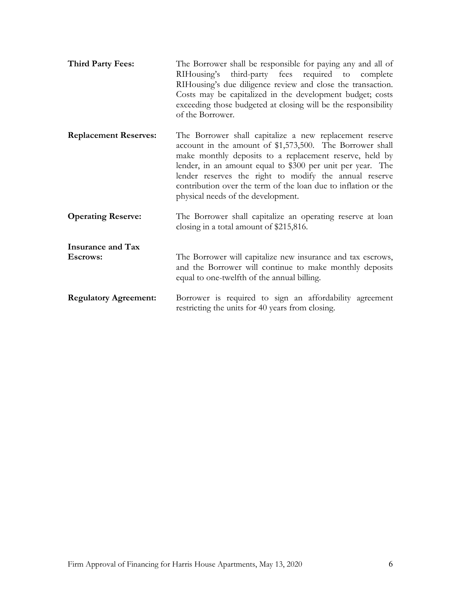| <b>Third Party Fees:</b>                    | The Borrower shall be responsible for paying any and all of<br>RIHousing's third-party fees required to complete<br>RIHousing's due diligence review and close the transaction.<br>Costs may be capitalized in the development budget; costs<br>exceeding those budgeted at closing will be the responsibility<br>of the Borrower.                                                                             |
|---------------------------------------------|----------------------------------------------------------------------------------------------------------------------------------------------------------------------------------------------------------------------------------------------------------------------------------------------------------------------------------------------------------------------------------------------------------------|
| <b>Replacement Reserves:</b>                | The Borrower shall capitalize a new replacement reserve<br>account in the amount of \$1,573,500. The Borrower shall<br>make monthly deposits to a replacement reserve, held by<br>lender, in an amount equal to \$300 per unit per year. The<br>lender reserves the right to modify the annual reserve<br>contribution over the term of the loan due to inflation or the<br>physical needs of the development. |
| <b>Operating Reserve:</b>                   | The Borrower shall capitalize an operating reserve at loan<br>closing in a total amount of \$215,816.                                                                                                                                                                                                                                                                                                          |
| <b>Insurance and Tax</b><br><b>Escrows:</b> | The Borrower will capitalize new insurance and tax escrows,<br>and the Borrower will continue to make monthly deposits<br>equal to one-twelfth of the annual billing.                                                                                                                                                                                                                                          |
| <b>Regulatory Agreement:</b>                | Borrower is required to sign an affordability agreement<br>restricting the units for 40 years from closing.                                                                                                                                                                                                                                                                                                    |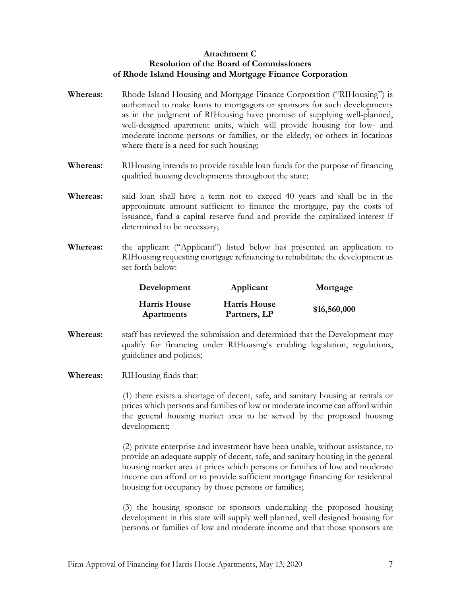#### **Attachment C Resolution of the Board of Commissioners of Rhode Island Housing and Mortgage Finance Corporation**

- **Whereas:** Rhode Island Housing and Mortgage Finance Corporation ("RIHousing") is authorized to make loans to mortgagors or sponsors for such developments as in the judgment of RIHousing have promise of supplying well-planned, well-designed apartment units, which will provide housing for low- and moderate-income persons or families, or the elderly, or others in locations where there is a need for such housing;
- **Whereas:** RIHousing intends to provide taxable loan funds for the purpose of financing qualified housing developments throughout the state;
- **Whereas:** said loan shall have a term not to exceed 40 years and shall be in the approximate amount sufficient to finance the mortgage, pay the costs of issuance, fund a capital reserve fund and provide the capitalized interest if determined to be necessary;
- **Whereas:** the applicant ("Applicant") listed below has presented an application to RIHousing requesting mortgage refinancing to rehabilitate the development as set forth below:

| Development                | <b>Applicant</b>                    | Mortgage     |
|----------------------------|-------------------------------------|--------------|
| Harris House<br>Apartments | <b>Harris House</b><br>Partners, LP | \$16,560,000 |

- **Whereas:** staff has reviewed the submission and determined that the Development may qualify for financing under RIHousing's enabling legislation, regulations, guidelines and policies;
- **Whereas:** RIHousing finds that:

(1) there exists a shortage of decent, safe, and sanitary housing at rentals or prices which persons and families of low or moderate income can afford within the general housing market area to be served by the proposed housing development;

(2) private enterprise and investment have been unable, without assistance, to provide an adequate supply of decent, safe, and sanitary housing in the general housing market area at prices which persons or families of low and moderate income can afford or to provide sufficient mortgage financing for residential housing for occupancy by those persons or families;

(3) the housing sponsor or sponsors undertaking the proposed housing development in this state will supply well planned, well designed housing for persons or families of low and moderate income and that those sponsors are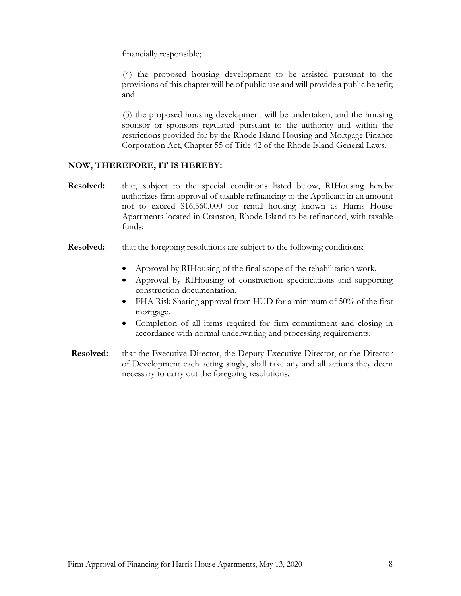financially responsible;

(4) the proposed housing development to be assisted pursuant to the provisions of this chapter will be of public use and will provide a public benefit; and

(5) the proposed housing development will be undertaken, and the housing sponsor or sponsors regulated pursuant to the authority and within the restrictions provided for by the Rhode Island Housing and Mortgage Finance Corporation Act, Chapter 55 of Title 42 of the Rhode Island General Laws.

#### **NOW, THEREFORE, IT IS HEREBY:**

- **Resolved:** that, subject to the special conditions listed below, RIHousing hereby authorizes firm approval of taxable refinancing to the Applicant in an amount not to exceed \$16,560,000 for rental housing known as Harris House Apartments located in Cranston, Rhode Island to be refinanced, with taxable funds;
- **Resolved:** that the foregoing resolutions are subject to the following conditions:
	- Approval by RIHousing of the final scope of the rehabilitation work.
	- Approval by RIHousing of construction specifications and supporting construction documentation.
	- FHA Risk Sharing approval from HUD for a minimum of 50% of the first mortgage.
	- Completion of all items required for firm commitment and closing in accordance with normal underwriting and processing requirements.
- **Resolved:** that the Executive Director, the Deputy Executive Director, or the Director of Development each acting singly, shall take any and all actions they deem necessary to carry out the foregoing resolutions.